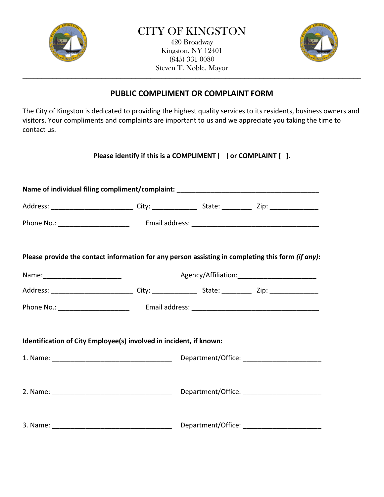

\_\_\_\_\_\_\_\_\_\_\_\_\_\_\_\_\_\_\_\_\_\_\_\_\_\_\_\_\_\_\_\_\_\_\_\_\_\_\_\_\_\_\_\_\_\_\_\_\_\_\_\_\_\_\_\_\_\_\_\_\_\_\_\_\_\_\_\_\_\_\_\_\_\_\_\_\_\_\_\_\_\_\_\_\_\_\_\_\_\_ 420 Broadway Kingston, NY 12401 (845) 331-0080 Steven T. Noble, Mayor



## **PUBLIC COMPLIMENT OR COMPLAINT FORM**

The City of Kingston is dedicated to providing the highest quality services to its residents, business owners and visitors. Your compliments and complaints are important to us and we appreciate you taking the time to contact us.

**Please identify if this is a COMPLIMENT [ ] or COMPLAINT [ ].**

| Name of individual filing compliment/complaint: ________________________________ |  |  |                                                                                                   |  |
|----------------------------------------------------------------------------------|--|--|---------------------------------------------------------------------------------------------------|--|
|                                                                                  |  |  |                                                                                                   |  |
|                                                                                  |  |  |                                                                                                   |  |
|                                                                                  |  |  | Please provide the contact information for any person assisting in completing this form (if any): |  |
|                                                                                  |  |  |                                                                                                   |  |
|                                                                                  |  |  |                                                                                                   |  |
|                                                                                  |  |  |                                                                                                   |  |
| Identification of City Employee(s) involved in incident, if known:               |  |  |                                                                                                   |  |
|                                                                                  |  |  |                                                                                                   |  |
|                                                                                  |  |  |                                                                                                   |  |
|                                                                                  |  |  |                                                                                                   |  |